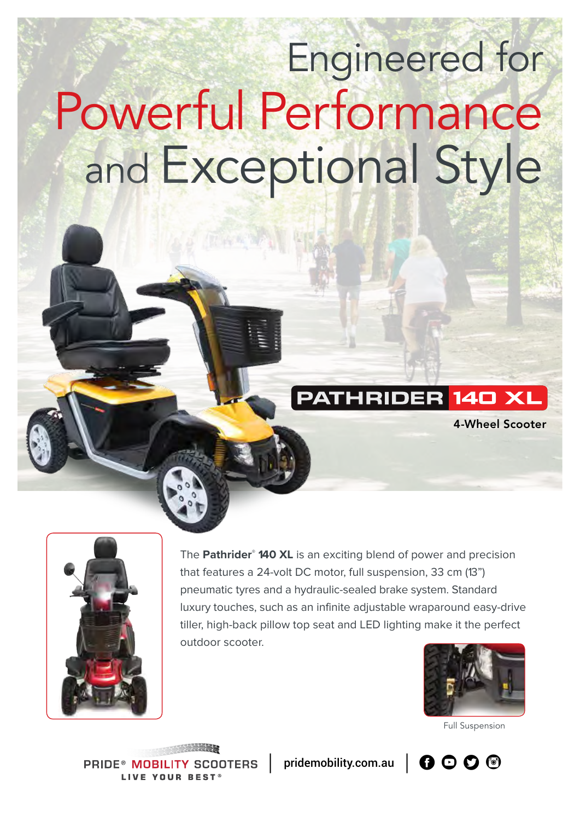# Engineered for Powerful Performance and Exceptional Style

### **THRIDER 140 XL**

4-Wheel Scooter



The **Pathrider® 140 XL** is an exciting blend of power and precision that features a 24-volt DC motor, full suspension, 33 cm (13") pneumatic tyres and a hydraulic-sealed brake system. Standard luxury touches, such as an infinite adjustable wraparound easy-drive tiller, high-back pillow top seat and LED lighting make it the perfect outdoor scooter.



Full Suspension

**PRIDE® MOBIL SCOOTERS I IVE YOUR RESTS** 

pridemobility.com.au  $\Box$   $\Box$   $\Box$   $\Box$   $\Box$